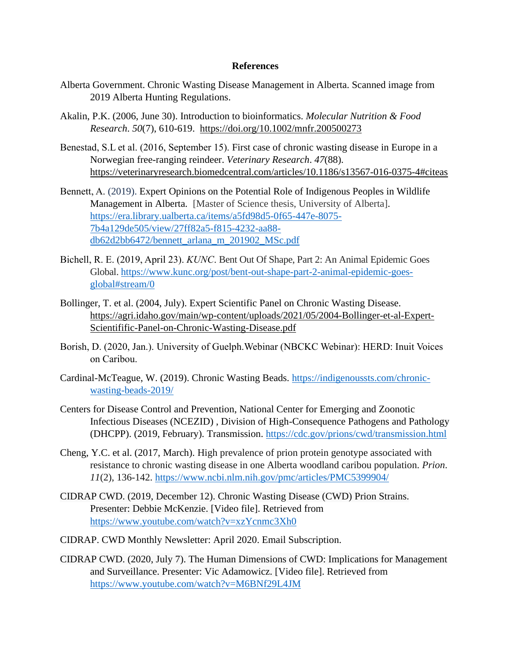## **References**

- Alberta Government. Chronic Wasting Disease Management in Alberta. Scanned image from 2019 Alberta Hunting Regulations.
- Akalin, P.K. (2006, June 30). Introduction to bioinformatics. *Molecular Nutrition & Food Research*. *50*(7), 610-619. <https://doi.org/10.1002/mnfr.200500273>
- Benestad, S.L et al. (2016, September 15). First case of chronic wasting disease in Europe in a Norwegian free-ranging reindeer. *Veterinary Research*. *47*(88). <https://veterinaryresearch.biomedcentral.com/articles/10.1186/s13567-016-0375-4#citeas>
- Bennett, A. (2019). Expert Opinions on the Potential Role of Indigenous Peoples in Wildlife Management in Alberta. [Master of Science thesis, University of Alberta]. [https://era.library.ualberta.ca/items/a5fd98d5-0f65-447e-8075-](https://era.library.ualberta.ca/items/a5fd98d5-0f65-447e-8075-7b4a129de505/view/27ff82a5-f815-4232-aa88-db62d2bb6472/bennett_arlana_m_201902_MSc.pdf) [7b4a129de505/view/27ff82a5-f815-4232-aa88](https://era.library.ualberta.ca/items/a5fd98d5-0f65-447e-8075-7b4a129de505/view/27ff82a5-f815-4232-aa88-db62d2bb6472/bennett_arlana_m_201902_MSc.pdf) [db62d2bb6472/bennett\\_arlana\\_m\\_201902\\_MSc.pdf](https://era.library.ualberta.ca/items/a5fd98d5-0f65-447e-8075-7b4a129de505/view/27ff82a5-f815-4232-aa88-db62d2bb6472/bennett_arlana_m_201902_MSc.pdf)
- Bichell, R. E. (2019, April 23). *KUNC*. Bent Out Of Shape, Part 2: An Animal Epidemic Goes Global. [https://www.kunc.org/post/bent-out-shape-part-2-animal-epidemic-goes](https://www.kunc.org/post/bent-out-shape-part-2-animal-epidemic-goes-global#stream/0)[global#stream/0](https://www.kunc.org/post/bent-out-shape-part-2-animal-epidemic-goes-global#stream/0)
- Bollinger, T. et al. (2004, July). Expert Scientific Panel on Chronic Wasting Disease. https://agri.idaho.gov/main/wp-content/uploads/2021/05/2004-Bollinger-et-al-Expert-Scientifific-Panel-on-Chronic-Wasting-Disease.pdf
- Borish, D. (2020, Jan.). University of Guelph.Webinar (NBCKC Webinar): HERD: Inuit Voices on Caribou.
- Cardinal-McTeague, W. (2019). Chronic Wasting Beads. [https://indigenoussts.com/chronic](https://indigenoussts.com/chronic-wasting-beads-2019/)[wasting-beads-2019/](https://indigenoussts.com/chronic-wasting-beads-2019/)
- [Centers for Disease Control and Prevention,](http://www.cdc.gov/) [National Center for Emerging and Zoonotic](http://www.cdc.gov/ncezid/index.html)  [Infectious Diseases \(NCEZID\)](http://www.cdc.gov/ncezid/index.html) , [Division of High-Consequence Pathogens and Pathology](http://www.cdc.gov/ncezid/dhcpp/index.html)  [\(DHCPP\).](http://www.cdc.gov/ncezid/dhcpp/index.html) (2019, February). Transmission.<https://cdc.gov/prions/cwd/transmission.html>
- Cheng, Y.C. et al. (2017, March). High prevalence of prion protein genotype associated with resistance to chronic wasting disease in one Alberta woodland caribou population. *Prion*. *11*(2), 136-142.<https://www.ncbi.nlm.nih.gov/pmc/articles/PMC5399904/>
- CIDRAP CWD. (2019, December 12). Chronic Wasting Disease (CWD) Prion Strains. Presenter: Debbie McKenzie. [Video file]. Retrieved from <https://www.youtube.com/watch?v=xzYcnmc3Xh0>
- CIDRAP. CWD Monthly Newsletter: April 2020. Email Subscription.
- CIDRAP CWD. (2020, July 7). The Human Dimensions of CWD: Implications for Management and Surveillance. Presenter: Vic Adamowicz. [Video file]. Retrieved from <https://www.youtube.com/watch?v=M6BNf29L4JM>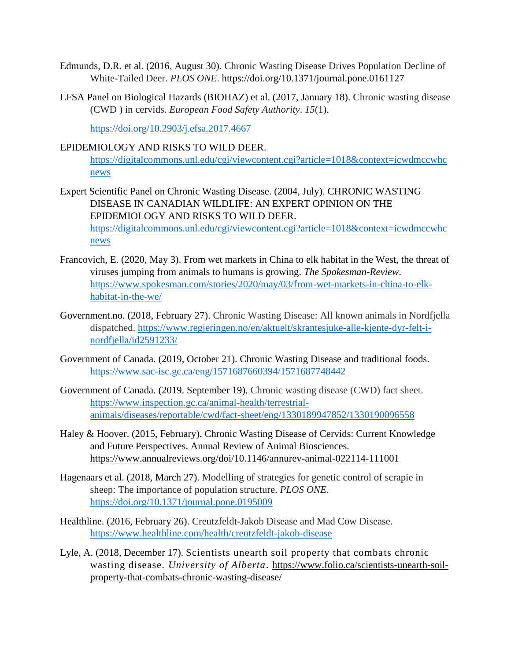- Edmunds, D.R. et al. (2016, August 30). Chronic Wasting Disease Drives Population Decline of White-Tailed Deer. *PLOS ONE*.<https://doi.org/10.1371/journal.pone.0161127>
- EFSA Panel on Biological Hazards (BIOHAZ) et al. (2017, January 18). Chronic wasting disease (CWD ) in cervids. *European Food Safety Authority*. *15*(1).

<https://doi.org/10.2903/j.efsa.2017.4667>

## EPIDEMIOLOGY AND RISKS TO WILD DEER.

[https://digitalcommons.unl.edu/cgi/viewcontent.cgi?article=1018&context=icwdmccwhc](https://digitalcommons.unl.edu/cgi/viewcontent.cgi?article=1018&context=icwdmccwhcnews) [news](https://digitalcommons.unl.edu/cgi/viewcontent.cgi?article=1018&context=icwdmccwhcnews)

- Expert Scientific Panel on Chronic Wasting Disease. (2004, July). CHRONIC WASTING DISEASE IN CANADIAN WILDLIFE: AN EXPERT OPINION ON THE EPIDEMIOLOGY AND RISKS TO WILD DEER. [https://digitalcommons.unl.edu/cgi/viewcontent.cgi?article=1018&context=icwdmccwhc](https://digitalcommons.unl.edu/cgi/viewcontent.cgi?article=1018&context=icwdmccwhcnews) [news](https://digitalcommons.unl.edu/cgi/viewcontent.cgi?article=1018&context=icwdmccwhcnews)
- Francovich, E. (2020, May 3). From wet markets in China to elk habitat in the West, the threat of viruses jumping from animals to humans is growing. *The Spokesman-Review*. [https://www.spokesman.com/stories/2020/may/03/from-wet-markets-in-china-to-elk](https://www.spokesman.com/stories/2020/may/03/from-wet-markets-in-china-to-elk-habitat-in-the-we/)[habitat-in-the-we/](https://www.spokesman.com/stories/2020/may/03/from-wet-markets-in-china-to-elk-habitat-in-the-we/)
- Government.no. (2018, February 27). Chronic Wasting Disease: All known animals in Nordfjella dispatched. [https://www.regjeringen.no/en/aktuelt/skrantesjuke-alle-kjente-dyr-felt-i](https://www.regjeringen.no/en/aktuelt/skrantesjuke-alle-kjente-dyr-felt-i-nordfjella/id2591233/)[nordfjella/id2591233/](https://www.regjeringen.no/en/aktuelt/skrantesjuke-alle-kjente-dyr-felt-i-nordfjella/id2591233/)
- Government of Canada. (2019, October 21). Chronic Wasting Disease and traditional foods. <https://www.sac-isc.gc.ca/eng/1571687660394/1571687748442>
- Government of Canada. (2019. September 19). Chronic wasting disease (CWD) fact sheet. [https://www.inspection.gc.ca/animal-health/terrestrial](https://www.inspection.gc.ca/animal-health/terrestrial-animals/diseases/reportable/cwd/fact-sheet/eng/1330189947852/1330190096558)[animals/diseases/reportable/cwd/fact-sheet/eng/1330189947852/1330190096558](https://www.inspection.gc.ca/animal-health/terrestrial-animals/diseases/reportable/cwd/fact-sheet/eng/1330189947852/1330190096558)
- Haley & Hoover. (2015, February). Chronic Wasting Disease of Cervids: Current Knowledge and Future Perspectives. Annual Review of Animal Biosciences. https://www.annualreviews.org/doi/10.1146/annurev-animal-022114-111001
- Hagenaars et al. (2018, March 27). Modelling of strategies for genetic control of scrapie in sheep: The importance of population structure. *PLOS ONE*. <https://doi.org/10.1371/journal.pone.0195009>
- Healthline. (2016, February 26). Creutzfeldt-Jakob Disease and Mad Cow Disease. <https://www.healthline.com/health/creutzfeldt-jakob-disease>
- Lyle, A. (2018, December 17). Scientists unearth soil property that combats chronic wasting disease. *University of Alberta*. [https://www.folio.ca/scientists-unearth-soil](https://www.folio.ca/scientists-unearth-soil-property-that-combats-chronic-wasting-disease/)[property-that-combats-chronic-wasting-disease/](https://www.folio.ca/scientists-unearth-soil-property-that-combats-chronic-wasting-disease/)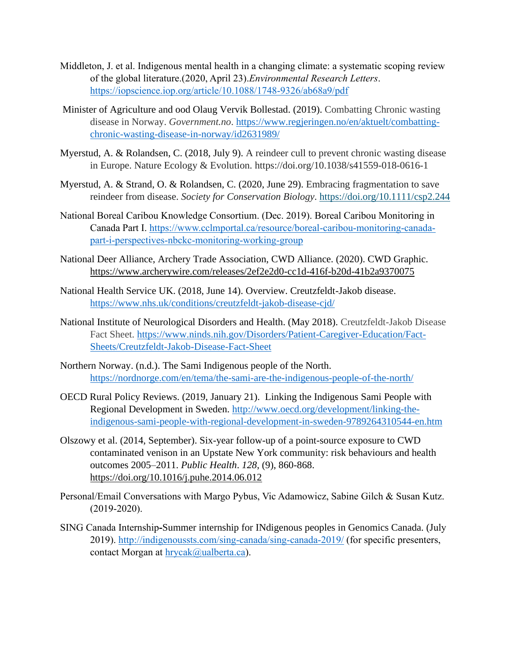- Middleton, J. et al. Indigenous mental health in a changing climate: a systematic scoping review of the global literature.(2020, April 23).*Environmental Research Letters*. <https://iopscience.iop.org/article/10.1088/1748-9326/ab68a9/pdf>
- Minister of Agriculture and ood Olaug Vervik Bollestad. (2019). Combatting Chronic wasting disease in Norway. *Government.no*. [https://www.regjeringen.no/en/aktuelt/combatting](https://www.regjeringen.no/en/aktuelt/combatting-chronic-wasting-disease-in-norway/id2631989/)[chronic-wasting-disease-in-norway/id2631989/](https://www.regjeringen.no/en/aktuelt/combatting-chronic-wasting-disease-in-norway/id2631989/)
- Myerstud, A. & Rolandsen, C. (2018, July 9). A reindeer cull to prevent chronic wasting disease in Europe. Nature Ecology & Evolution. https://doi.org/10.1038/s41559-018-0616-1
- Myerstud, A. & Strand, O. & Rolandsen, C. (2020, June 29). Embracing fragmentation to save reindeer from disease. *Society for Conservation Biology*.<https://doi.org/10.1111/csp2.244>
- National Boreal Caribou Knowledge Consortium. (Dec. 2019). Boreal Caribou Monitoring in Canada Part I. [https://www.cclmportal.ca/resource/boreal-caribou-monitoring-canada](https://www.cclmportal.ca/resource/boreal-caribou-monitoring-canada-part-i-perspectives-nbckc-monitoring-working-group)[part-i-perspectives-nbckc-monitoring-working-group](https://www.cclmportal.ca/resource/boreal-caribou-monitoring-canada-part-i-perspectives-nbckc-monitoring-working-group)
- National Deer Alliance, Archery Trade Association, CWD Alliance. (2020). CWD Graphic. https://www.archerywire.com/releases/2ef2e2d0-cc1d-416f-b20d-41b2a9370075
- National Health Service UK. (2018, June 14). Overview. Creutzfeldt-Jakob disease. <https://www.nhs.uk/conditions/creutzfeldt-jakob-disease-cjd/>
- National Institute of Neurological Disorders and Health. (May 2018). Creutzfeldt-Jakob Disease Fact Sheet. [https://www.ninds.nih.gov/Disorders/Patient-Caregiver-Education/Fact-](https://www.ninds.nih.gov/Disorders/Patient-Caregiver-Education/Fact-Sheets/Creutzfeldt-Jakob-Disease-Fact-Sheet)[Sheets/Creutzfeldt-Jakob-Disease-Fact-Sheet](https://www.ninds.nih.gov/Disorders/Patient-Caregiver-Education/Fact-Sheets/Creutzfeldt-Jakob-Disease-Fact-Sheet)
- Northern Norway. (n.d.). The Sami Indigenous people of the North. <https://nordnorge.com/en/tema/the-sami-are-the-indigenous-people-of-the-north/>
- OECD Rural Policy Reviews. (2019, January 21). Linking the Indigenous Sami People with Regional Development in Sweden. [http://www.oecd.org/development/linking-the](http://www.oecd.org/development/linking-the-indigenous-sami-people-with-regional-development-in-sweden-9789264310544-en.htm)[indigenous-sami-people-with-regional-development-in-sweden-9789264310544-en.htm](http://www.oecd.org/development/linking-the-indigenous-sami-people-with-regional-development-in-sweden-9789264310544-en.htm)
- Olszowy et al. (2014, September). Six-year follow-up of a point-source exposure to CWD contaminated venison in an Upstate New York community: risk behaviours and health outcomes 2005–2011. *Public Health*. *128*, (9), 860-868. <https://doi.org/10.1016/j.puhe.2014.06.012>
- Personal/Email Conversations with Margo Pybus, Vic Adamowicz, Sabine Gilch & Susan Kutz. (2019-2020).
- SING Canada Internship**-**Summer internship for INdigenous peoples in Genomics Canada. (July 2019).<http://indigenoussts.com/sing-canada/sing-canada-2019/> (for specific presenters, contact Morgan at [hrycak@ualberta.ca\)](mailto:hrycak@ualberta.ca).